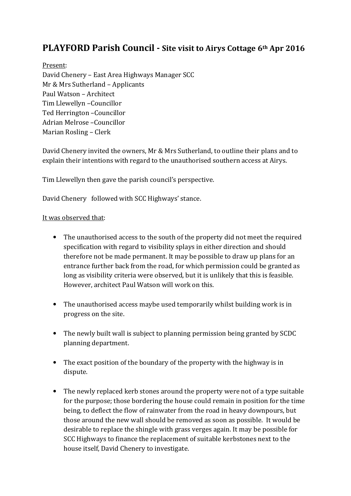## PLAYFORD Parish Council - Site visit to Airys Cottage 6th Apr 2016

## Present:

David Chenery – East Area Highways Manager SCC Mr & Mrs Sutherland – Applicants Paul Watson – Architect Tim Llewellyn –Councillor Ted Herrington –Councillor Adrian Melrose –Councillor Marian Rosling – Clerk

David Chenery invited the owners, Mr & Mrs Sutherland, to outline their plans and to explain their intentions with regard to the unauthorised southern access at Airys.

Tim Llewellyn then gave the parish council's perspective.

David Chenery followed with SCC Highways' stance.

## It was observed that:

- The unauthorised access to the south of the property did not meet the required specification with regard to visibility splays in either direction and should therefore not be made permanent. It may be possible to draw up plans for an entrance further back from the road, for which permission could be granted as long as visibility criteria were observed, but it is unlikely that this is feasible. However, architect Paul Watson will work on this.
- The unauthorised access maybe used temporarily whilst building work is in progress on the site.
- The newly built wall is subject to planning permission being granted by SCDC planning department.
- The exact position of the boundary of the property with the highway is in dispute.
- The newly replaced kerb stones around the property were not of a type suitable for the purpose; those bordering the house could remain in position for the time being, to deflect the flow of rainwater from the road in heavy downpours, but those around the new wall should be removed as soon as possible. It would be desirable to replace the shingle with grass verges again. It may be possible for SCC Highways to finance the replacement of suitable kerbstones next to the house itself, David Chenery to investigate.